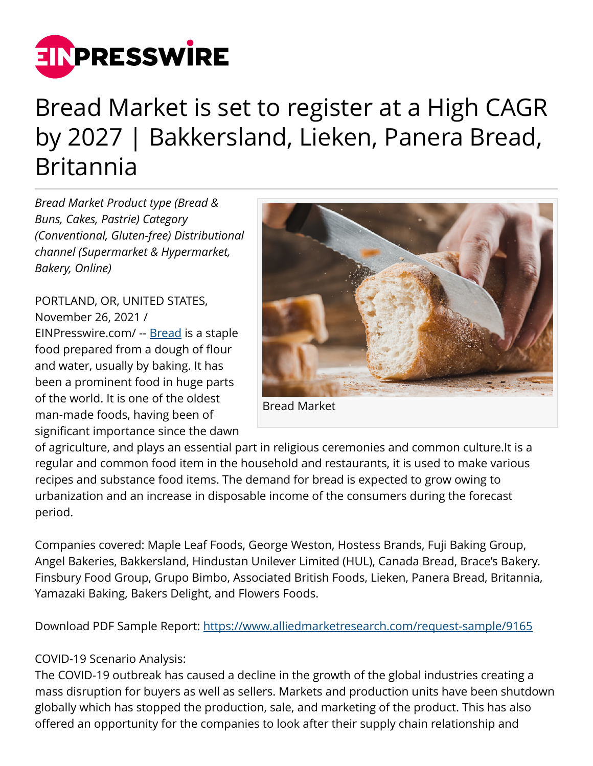

## Bread Market is set to register at a High CAGR by 2027 | Bakkersland, Lieken, Panera Bread, Britannia

*Bread Market Product type (Bread & Buns, Cakes, Pastrie) Category (Conventional, Gluten-free) Distributional channel (Supermarket & Hypermarket, Bakery, Online)*

PORTLAND, OR, UNITED STATES, November 26, 2021 / [EINPresswire.com](http://www.einpresswire.com)/ -- [Bread](https://www.alliedmarketresearch.com/bread-market-A08800) is a staple food prepared from a dough of flour and water, usually by baking. It has been a prominent food in huge parts of the world. It is one of the oldest man-made foods, having been of significant importance since the dawn



Bread Market

of agriculture, and plays an essential part in religious ceremonies and common culture.It is a regular and common food item in the household and restaurants, it is used to make various recipes and substance food items. The demand for bread is expected to grow owing to urbanization and an increase in disposable income of the consumers during the forecast period.

Companies covered: Maple Leaf Foods, George Weston, Hostess Brands, Fuji Baking Group, Angel Bakeries, Bakkersland, Hindustan Unilever Limited (HUL), Canada Bread, Brace's Bakery. Finsbury Food Group, Grupo Bimbo, Associated British Foods, Lieken, Panera Bread, Britannia, Yamazaki Baking, Bakers Delight, and Flowers Foods.

Download PDF Sample Report: <https://www.alliedmarketresearch.com/request-sample/9165>

## COVID-19 Scenario Analysis:

The COVID-19 outbreak has caused a decline in the growth of the global industries creating a mass disruption for buyers as well as sellers. Markets and production units have been shutdown globally which has stopped the production, sale, and marketing of the product. This has also offered an opportunity for the companies to look after their supply chain relationship and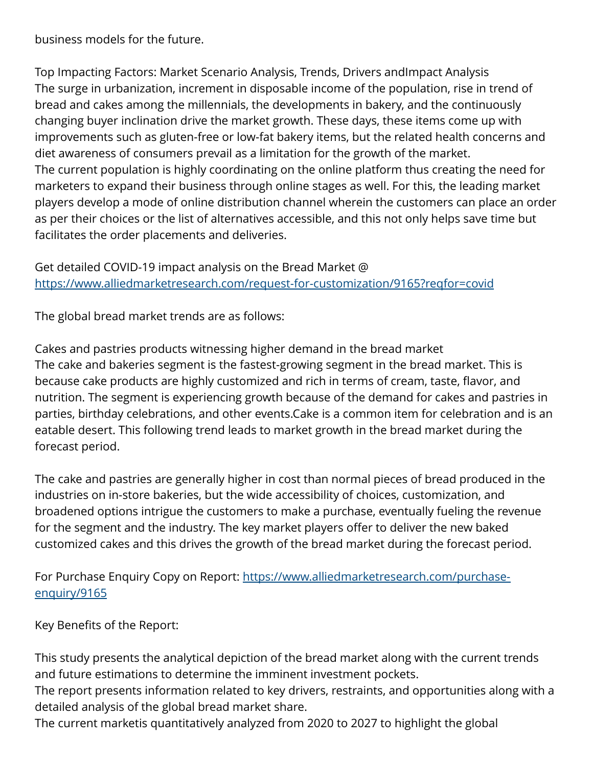business models for the future.

Top Impacting Factors: Market Scenario Analysis, Trends, Drivers andImpact Analysis The surge in urbanization, increment in disposable income of the population, rise in trend of bread and cakes among the millennials, the developments in bakery, and the continuously changing buyer inclination drive the market growth. These days, these items come up with improvements such as gluten-free or low-fat bakery items, but the related health concerns and diet awareness of consumers prevail as a limitation for the growth of the market. The current population is highly coordinating on the online platform thus creating the need for marketers to expand their business through online stages as well. For this, the leading market players develop a mode of online distribution channel wherein the customers can place an order as per their choices or the list of alternatives accessible, and this not only helps save time but facilitates the order placements and deliveries.

Get detailed COVID-19 impact analysis on the Bread Market @ <https://www.alliedmarketresearch.com/request-for-customization/9165?reqfor=covid>

The global bread market trends are as follows:

Cakes and pastries products witnessing higher demand in the bread market The cake and bakeries segment is the fastest-growing segment in the bread market. This is because cake products are highly customized and rich in terms of cream, taste, flavor, and nutrition. The segment is experiencing growth because of the demand for cakes and pastries in parties, birthday celebrations, and other events.Cake is a common item for celebration and is an eatable desert. This following trend leads to market growth in the bread market during the forecast period.

The cake and pastries are generally higher in cost than normal pieces of bread produced in the industries on in-store bakeries, but the wide accessibility of choices, customization, and broadened options intrigue the customers to make a purchase, eventually fueling the revenue for the segment and the industry. The key market players offer to deliver the new baked customized cakes and this drives the growth of the bread market during the forecast period.

For Purchase Enquiry Copy on Report: [https://www.alliedmarketresearch.com/purchase](https://www.alliedmarketresearch.com/purchase-enquiry/9165)[enquiry/9165](https://www.alliedmarketresearch.com/purchase-enquiry/9165)

Key Benefits of the Report:

This study presents the analytical depiction of the bread market along with the current trends and future estimations to determine the imminent investment pockets.

The report presents information related to key drivers, restraints, and opportunities along with a detailed analysis of the global bread market share.

The current marketis quantitatively analyzed from 2020 to 2027 to highlight the global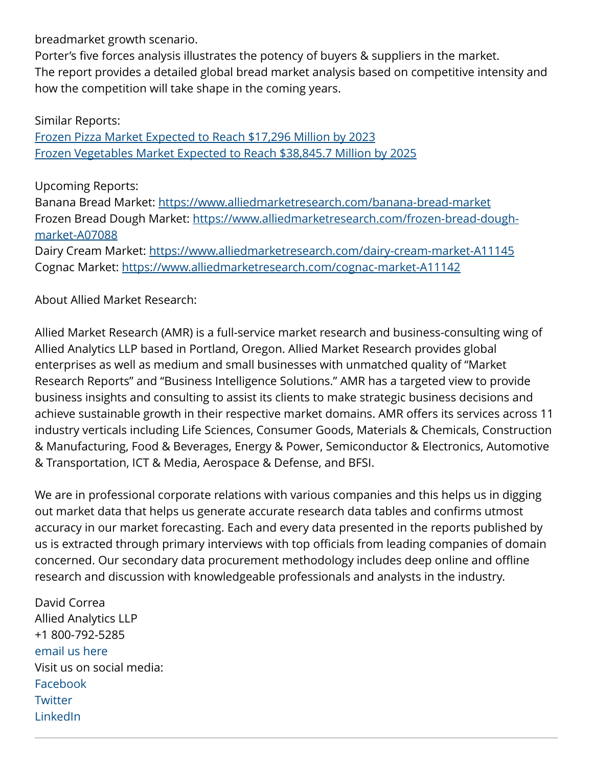breadmarket growth scenario.

Porter's five forces analysis illustrates the potency of buyers & suppliers in the market. The report provides a detailed global bread market analysis based on competitive intensity and how the competition will take shape in the coming years.

Similar Reports: [Frozen Pizza Market Expected to Reach \\$17,296 Million by 2023](https://www.alliedmarketresearch.com/frozen-pizza-market) [Frozen Vegetables Market Expected to Reach \\$38,845.7 Million by 2025](https://www.alliedmarketresearch.com/frozen-vegetables-market)

Upcoming Reports:

Banana Bread Market: <https://www.alliedmarketresearch.com/banana-bread-market> Frozen Bread Dough Market: [https://www.alliedmarketresearch.com/frozen-bread-dough](https://www.alliedmarketresearch.com/frozen-bread-dough-market-A07088)[market-A07088](https://www.alliedmarketresearch.com/frozen-bread-dough-market-A07088)

Dairy Cream Market:<https://www.alliedmarketresearch.com/dairy-cream-market-A11145> Cognac Market: <https://www.alliedmarketresearch.com/cognac-market-A11142>

About Allied Market Research:

Allied Market Research (AMR) is a full-service market research and business-consulting wing of Allied Analytics LLP based in Portland, Oregon. Allied Market Research provides global enterprises as well as medium and small businesses with unmatched quality of "Market Research Reports" and "Business Intelligence Solutions." AMR has a targeted view to provide business insights and consulting to assist its clients to make strategic business decisions and achieve sustainable growth in their respective market domains. AMR offers its services across 11 industry verticals including Life Sciences, Consumer Goods, Materials & Chemicals, Construction & Manufacturing, Food & Beverages, Energy & Power, Semiconductor & Electronics, Automotive & Transportation, ICT & Media, Aerospace & Defense, and BFSI.

We are in professional corporate relations with various companies and this helps us in digging out market data that helps us generate accurate research data tables and confirms utmost accuracy in our market forecasting. Each and every data presented in the reports published by us is extracted through primary interviews with top officials from leading companies of domain concerned. Our secondary data procurement methodology includes deep online and offline research and discussion with knowledgeable professionals and analysts in the industry.

David Correa Allied Analytics LLP +1 800-792-5285 [email us here](http://www.einpresswire.com/contact_author/3204964) Visit us on social media: [Facebook](https://www.facebook.com/alliedmarketresearch/) **[Twitter](https://twitter.com/allied_mr)** [LinkedIn](https://www.linkedin.com/company/allied-market-research)